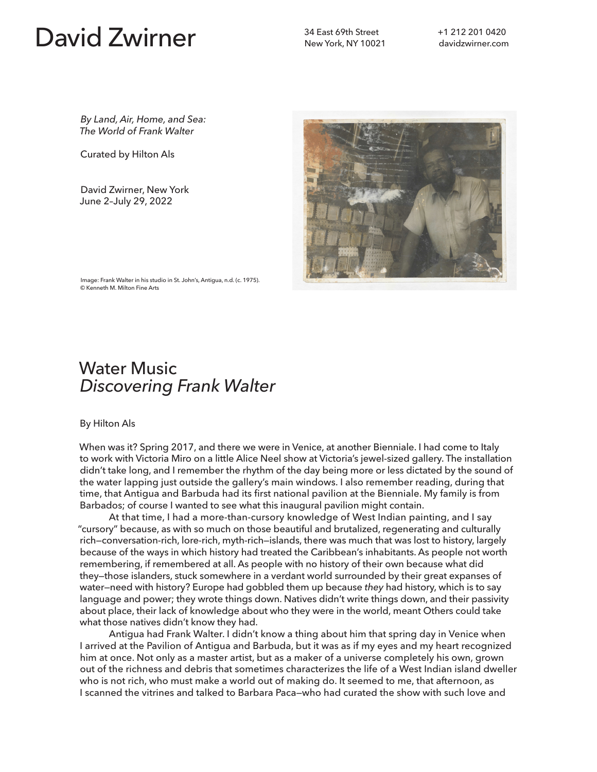## David Zwirner **34 East 69th Street**

New York, NY 10021

*By Land, Air, Home, and Sea: The World of Frank Walter*

Curated by Hilton Als

David Zwirner, New York June 2–July 29, 2022



Image: Frank Walter in his studio in St. John's, Antigua, n.d. (c. 1975). © Kenneth M. Milton Fine Arts

## Water Music *Discovering Frank Walter*

## By Hilton Als

When was it? Spring 2017, and there we were in Venice, at another Bienniale. I had come to Italy to work with Victoria Miro on a little Alice Neel show at Victoria's jewel-sized gallery. The installation didn't take long, and I remember the rhythm of the day being more or less dictated by the sound of the water lapping just outside the gallery's main windows. I also remember reading, during that time, that Antigua and Barbuda had its first national pavilion at the Bienniale. My family is from Barbados; of course I wanted to see what this inaugural pavilion might contain.

At that time, I had a more-than-cursory knowledge of West Indian painting, and I say "cursory" because, as with so much on those beautiful and brutalized, regenerating and culturally rich—conversation-rich, lore-rich, myth-rich—islands, there was much that was lost to history, largely because of the ways in which history had treated the Caribbean's inhabitants. As people not worth remembering, if remembered at all. As people with no history of their own because what did they—those islanders, stuck somewhere in a verdant world surrounded by their great expanses of water—need with history? Europe had gobbled them up because *they* had history, which is to say language and power; they wrote things down. Natives didn't write things down, and their passivity about place, their lack of knowledge about who they were in the world, meant Others could take what those natives didn't know they had.

Antigua had Frank Walter. I didn't know a thing about him that spring day in Venice when I arrived at the Pavilion of Antigua and Barbuda, but it was as if my eyes and my heart recognized him at once. Not only as a master artist, but as a maker of a universe completely his own, grown out of the richness and debris that sometimes characterizes the life of a West Indian island dweller who is not rich, who must make a world out of making do. It seemed to me, that afternoon, as I scanned the vitrines and talked to Barbara Paca—who had curated the show with such love and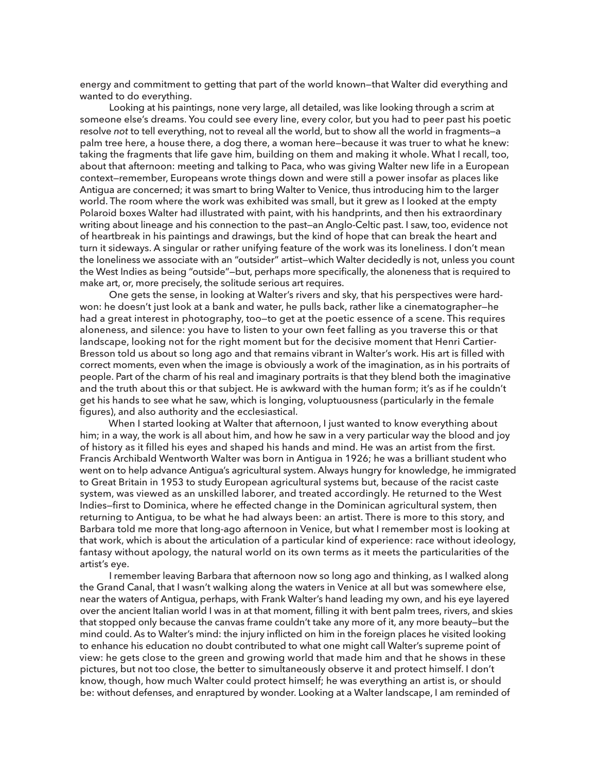energy and commitment to getting that part of the world known—that Walter did everything and wanted to do everything.

Looking at his paintings, none very large, all detailed, was like looking through a scrim at someone else's dreams. You could see every line, every color, but you had to peer past his poetic resolve *not* to tell everything, not to reveal all the world, but to show all the world in fragments—a palm tree here, a house there, a dog there, a woman here—because it was truer to what he knew: taking the fragments that life gave him, building on them and making it whole. What I recall, too, about that afternoon: meeting and talking to Paca, who was giving Walter new life in a European context—remember, Europeans wrote things down and were still a power insofar as places like Antigua are concerned; it was smart to bring Walter to Venice, thus introducing him to the larger world. The room where the work was exhibited was small, but it grew as I looked at the empty Polaroid boxes Walter had illustrated with paint, with his handprints, and then his extraordinary writing about lineage and his connection to the past—an Anglo-Celtic past. I saw, too, evidence not of heartbreak in his paintings and drawings, but the kind of hope that can break the heart and turn it sideways. A singular or rather unifying feature of the work was its loneliness. I don't mean the loneliness we associate with an "outsider" artist—which Walter decidedly is not, unless you count the West Indies as being "outside"—but, perhaps more specifically, the aloneness that is required to make art, or, more precisely, the solitude serious art requires.

One gets the sense, in looking at Walter's rivers and sky, that his perspectives were hardwon: he doesn't just look at a bank and water, he pulls back, rather like a cinematographer—he had a great interest in photography, too-to get at the poetic essence of a scene. This requires aloneness, and silence: you have to listen to your own feet falling as you traverse this or that landscape, looking not for the right moment but for the decisive moment that Henri Cartier-Bresson told us about so long ago and that remains vibrant in Walter's work. His art is filled with correct moments, even when the image is obviously a work of the imagination, as in his portraits of people. Part of the charm of his real and imaginary portraits is that they blend both the imaginative and the truth about this or that subject. He is awkward with the human form; it's as if he couldn't get his hands to see what he saw, which is longing, voluptuousness (particularly in the female figures), and also authority and the ecclesiastical.

When I started looking at Walter that afternoon, I just wanted to know everything about him; in a way, the work is all about him, and how he saw in a very particular way the blood and joy of history as it filled his eyes and shaped his hands and mind. He was an artist from the first. Francis Archibald Wentworth Walter was born in Antigua in 1926; he was a brilliant student who went on to help advance Antigua's agricultural system. Always hungry for knowledge, he immigrated to Great Britain in 1953 to study European agricultural systems but, because of the racist caste system, was viewed as an unskilled laborer, and treated accordingly. He returned to the West Indies—first to Dominica, where he effected change in the Dominican agricultural system, then returning to Antigua, to be what he had always been: an artist. There is more to this story, and Barbara told me more that long-ago afternoon in Venice, but what I remember most is looking at that work, which is about the articulation of a particular kind of experience: race without ideology, fantasy without apology, the natural world on its own terms as it meets the particularities of the artist's eye.

I remember leaving Barbara that afternoon now so long ago and thinking, as I walked along the Grand Canal, that I wasn't walking along the waters in Venice at all but was somewhere else, near the waters of Antigua, perhaps, with Frank Walter's hand leading my own, and his eye layered over the ancient Italian world I was in at that moment, filling it with bent palm trees, rivers, and skies that stopped only because the canvas frame couldn't take any more of it, any more beauty—but the mind could. As to Walter's mind: the injury inflicted on him in the foreign places he visited looking to enhance his education no doubt contributed to what one might call Walter's supreme point of view: he gets close to the green and growing world that made him and that he shows in these pictures, but not too close, the better to simultaneously observe it and protect himself. I don't know, though, how much Walter could protect himself; he was everything an artist is, or should be: without defenses, and enraptured by wonder. Looking at a Walter landscape, I am reminded of